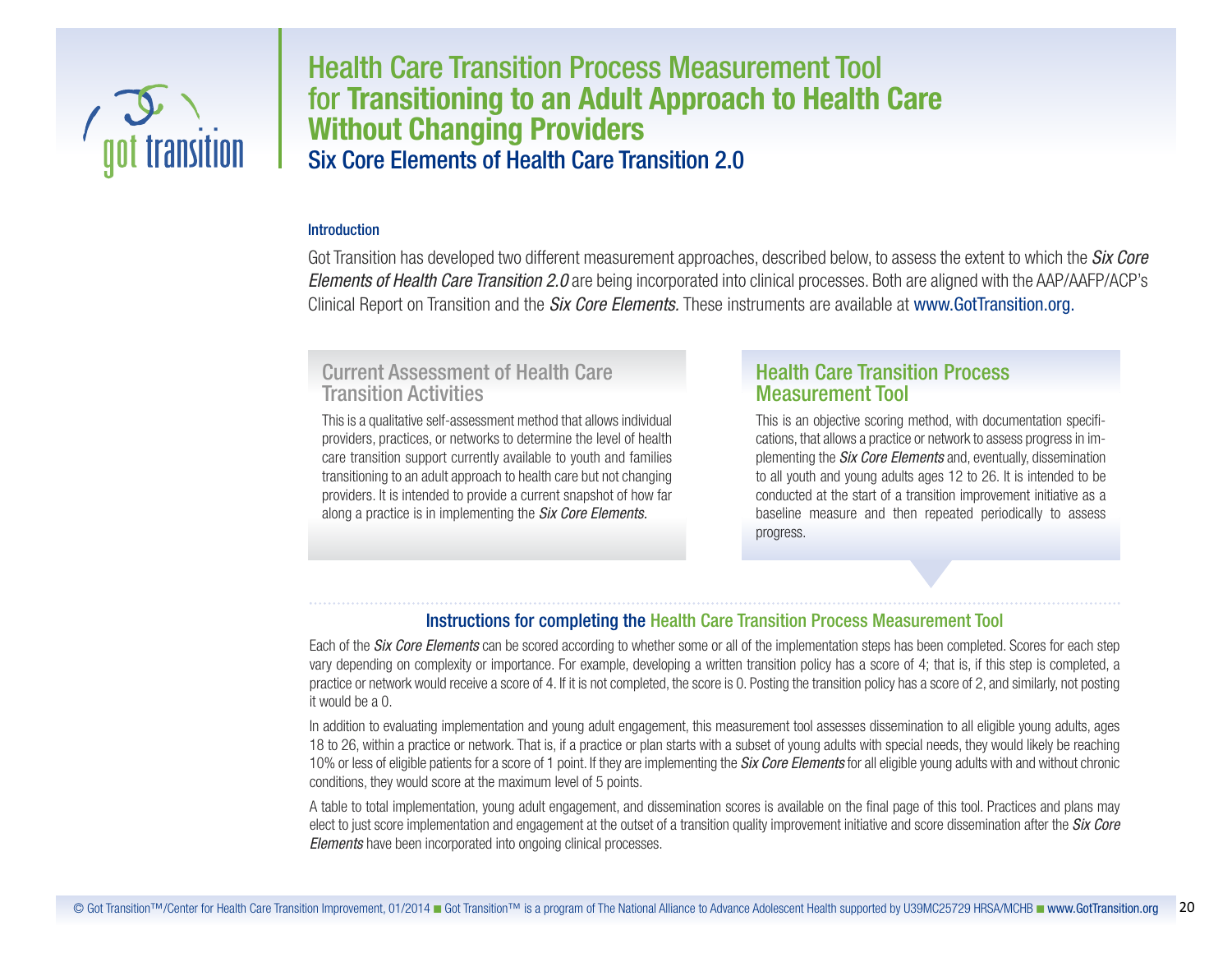

# Health Care Transition Process Measurement Tool for **Transitioning to an Adult Approach to Health Care Without Changing Providers** Six Core Elements of Health Care Transition 2.0

### **Introduction**

Got Transition has developed two different measurement approaches, described below, to assess the extent to which the *Six Core Elements of Health Care Transition 2.0* are being incorporated into clinical processes. Both are aligned with the AAP/AAFP/ACP's Clinical Report on Transition and the *Six Core Elements.* These instruments are available at www.GotTransition.org.

# Current Assessment of Health Care Transition Activities

This is a qualitative self-assessment method that allows individual providers, practices, or networks to determine the level of health care transition support currently available to youth and families transitioning to an adult approach to health care but not changing providers. It is intended to provide a current snapshot of how far along a practice is in implementing the *Six Core Elements.*

# Health Care Transition Process Measurement Tool

This is an objective scoring method, with documentation specifications, that allows a practice or network to assess progressin implementing the *Six Core Elements* and, eventually, dissemination to all youth and young adults ages 12 to 26. It is intended to be conducted at the start of a transition improvement initiative as a baseline measure and then repeated periodically to assess progress.

## Instructions for completing the Health Care Transition Process Measurement Tool

Each of the *Six Core Elements* can be scored according to whether some or all of the implementation steps has been completed. Scores for each step vary depending on complexity or importance. For example, developing a written transition policy has a score of 4; that is, if this step is completed, a practice or network would receive a score of 4. If it is not completed, the score is 0. Posting the transition policy has a score of 2, and similarly, not posting it would be a 0.

In addition to evaluating implementation and young adult engagement, this measurement tool assesses dissemination to all eligible young adults, ages 18 to 26, within a practice or network. That is, if a practice or plan starts with a subset of young adults with special needs, they would likely be reaching 10% or less of eligible patientsfor a score of 1 point. If they are implementing the *Six Core Elements* for all eligible young adults with and without chronic conditions, they would score at the maximum level of 5 points.

A table to total implementation, young adult engagement, and dissemination scores is available on the final page of this tool. Practices and plans may elect to just score implementation and engagement at the outset of a transition quality improvement initiative and score dissemination after the *Six Core Elements* have been incorporated into ongoing clinical processes.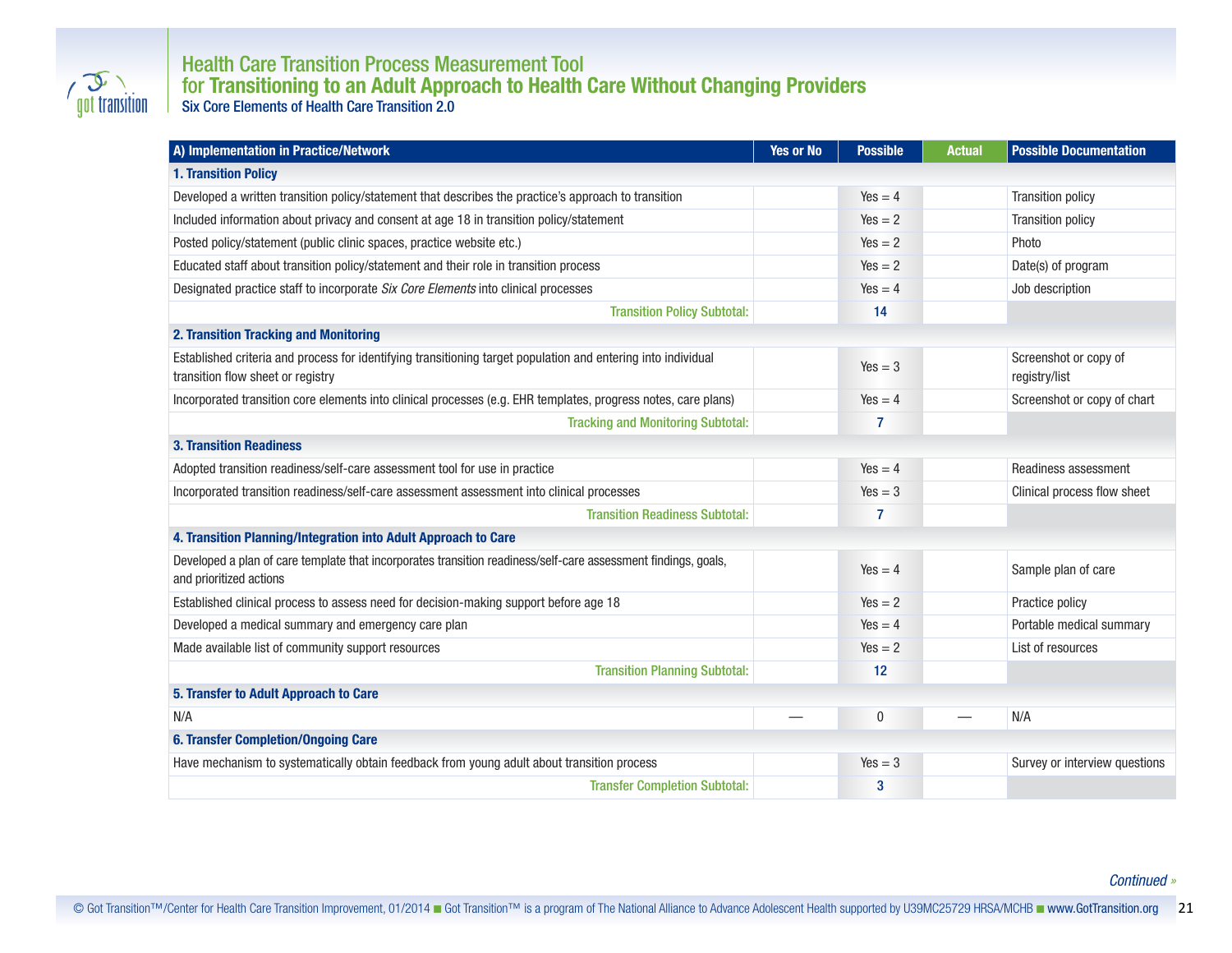

## Health Care Transition Process Measurement Tool for **Transitioning to an Adult Approach to Health Care Without Changing Providers** Six Core Elements of Health Care Transition 2.0

| A) Implementation in Practice/Network                                                                                                              | <b>Yes or No</b> | <b>Possible</b> | <b>Actual</b> | <b>Possible Documentation</b>          |
|----------------------------------------------------------------------------------------------------------------------------------------------------|------------------|-----------------|---------------|----------------------------------------|
| <b>1. Transition Policy</b>                                                                                                                        |                  |                 |               |                                        |
| Developed a written transition policy/statement that describes the practice's approach to transition                                               |                  | $Yes = 4$       |               | <b>Transition policy</b>               |
| Included information about privacy and consent at age 18 in transition policy/statement                                                            |                  | $Yes = 2$       |               | <b>Transition policy</b>               |
| Posted policy/statement (public clinic spaces, practice website etc.)                                                                              |                  | $Yes = 2$       |               | Photo                                  |
| Educated staff about transition policy/statement and their role in transition process                                                              |                  | $Yes = 2$       |               | Date(s) of program                     |
| Designated practice staff to incorporate Six Core Elements into clinical processes                                                                 |                  | $Yes = 4$       |               | Job description                        |
| <b>Transition Policy Subtotal:</b>                                                                                                                 |                  | 14              |               |                                        |
| 2. Transition Tracking and Monitoring                                                                                                              |                  |                 |               |                                        |
| Established criteria and process for identifying transitioning target population and entering into individual<br>transition flow sheet or registry |                  | $Yes = 3$       |               | Screenshot or copy of<br>registry/list |
| Incorporated transition core elements into clinical processes (e.g. EHR templates, progress notes, care plans)                                     |                  | $Yes = 4$       |               | Screenshot or copy of chart            |
| <b>Tracking and Monitoring Subtotal:</b>                                                                                                           |                  | 7               |               |                                        |
| <b>3. Transition Readiness</b>                                                                                                                     |                  |                 |               |                                        |
| Adopted transition readiness/self-care assessment tool for use in practice                                                                         |                  | $Yes = 4$       |               | Readiness assessment                   |
| Incorporated transition readiness/self-care assessment assessment into clinical processes                                                          |                  | $Yes = 3$       |               | Clinical process flow sheet            |
| <b>Transition Readiness Subtotal:</b>                                                                                                              |                  | 7               |               |                                        |
| 4. Transition Planning/Integration into Adult Approach to Care                                                                                     |                  |                 |               |                                        |
| Developed a plan of care template that incorporates transition readiness/self-care assessment findings, goals,<br>and prioritized actions          |                  | $Yes = 4$       |               | Sample plan of care                    |
| Established clinical process to assess need for decision-making support before age 18                                                              |                  | $Yes = 2$       |               | Practice policy                        |
| Developed a medical summary and emergency care plan                                                                                                |                  | $Yes = 4$       |               | Portable medical summary               |
| Made available list of community support resources                                                                                                 |                  | $Yes = 2$       |               | List of resources                      |
| <b>Transition Planning Subtotal:</b>                                                                                                               |                  | 12              |               |                                        |
| 5. Transfer to Adult Approach to Care                                                                                                              |                  |                 |               |                                        |
| N/A                                                                                                                                                |                  | 0               |               | N/A                                    |
| <b>6. Transfer Completion/Ongoing Care</b>                                                                                                         |                  |                 |               |                                        |
| Have mechanism to systematically obtain feedback from young adult about transition process                                                         |                  | $Yes = 3$       |               | Survey or interview questions          |
| <b>Transfer Completion Subtotal:</b>                                                                                                               |                  | 3               |               |                                        |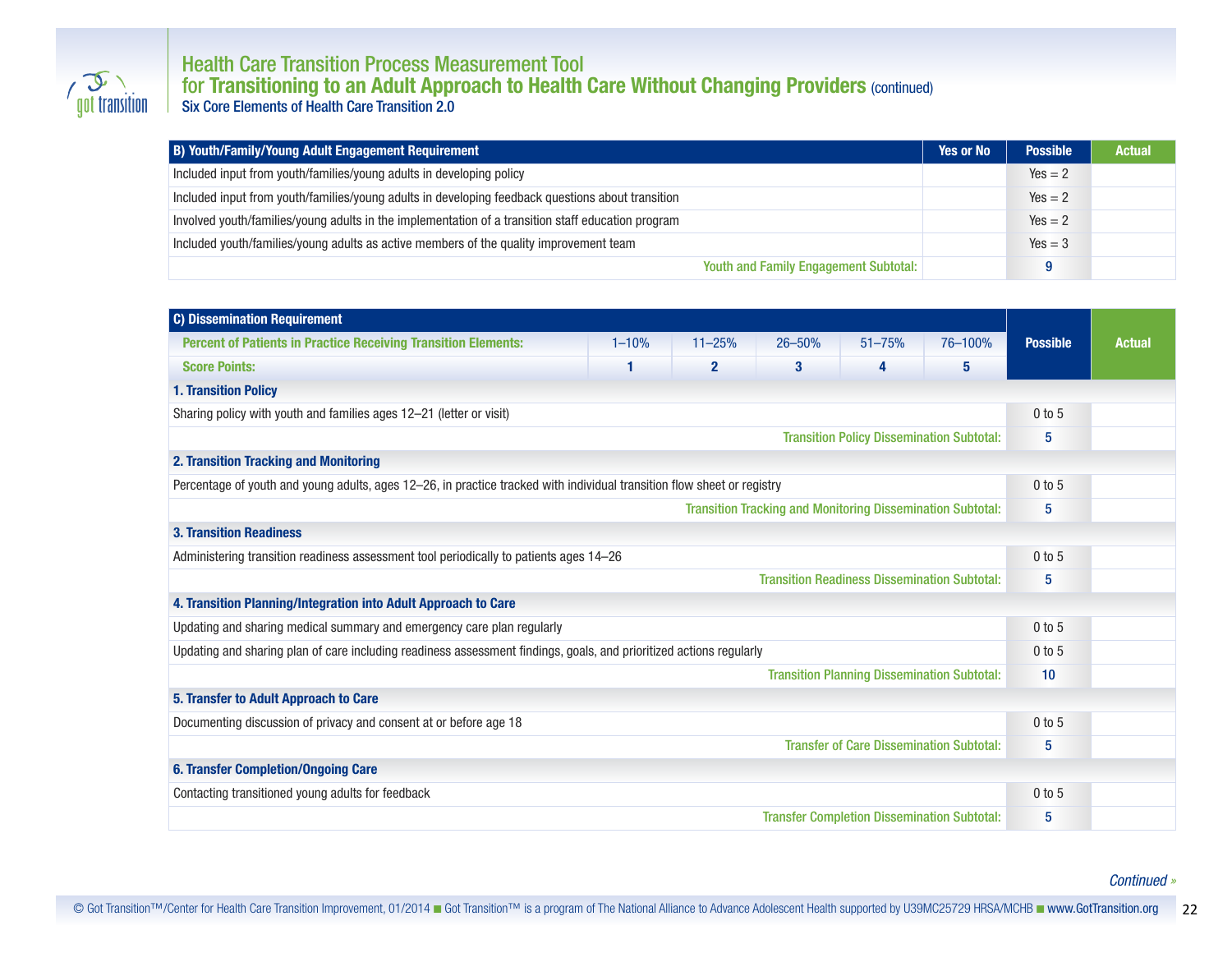

## Health Care Transition Process Measurement Tool for **Transitioning to an Adult Approach to Health Care Without Changing Providers** (continued) Six Core Elements of Health Care Transition 2.0

| B) Youth/Family/Young Adult Engagement Requirement                                                 | <b>Yes or No</b> | <b>Possible</b> | <b>Actual</b> |
|----------------------------------------------------------------------------------------------------|------------------|-----------------|---------------|
| Included input from youth/families/young adults in developing policy                               |                  | $Yes = 2$       |               |
| Included input from youth/families/young adults in developing feedback questions about transition  |                  | $Yes = 2$       |               |
| Involved youth/families/young adults in the implementation of a transition staff education program |                  | $Yes = 2$       |               |
| Included youth/families/young adults as active members of the quality improvement team             |                  | $Yes = 3$       |               |
| <b>Youth and Family Engagement Subtotal:</b>                                                       |                  | a               |               |

| <b>C) Dissemination Requirement</b>                                                                                     |                                                  |              |            |                                                 |         |                 |               |  |  |  |  |  |
|-------------------------------------------------------------------------------------------------------------------------|--------------------------------------------------|--------------|------------|-------------------------------------------------|---------|-----------------|---------------|--|--|--|--|--|
| <b>Percent of Patients in Practice Receiving Transition Elements:</b>                                                   | $1 - 10%$                                        | $11 - 25%$   | $26 - 50%$ | $51 - 75%$                                      | 76-100% | <b>Possible</b> | <b>Actual</b> |  |  |  |  |  |
| <b>Score Points:</b>                                                                                                    |                                                  | $\mathbf{2}$ | 3          | 4                                               | 5       |                 |               |  |  |  |  |  |
| <b>1. Transition Policy</b>                                                                                             |                                                  |              |            |                                                 |         |                 |               |  |  |  |  |  |
| Sharing policy with youth and families ages 12-21 (letter or visit)                                                     |                                                  | $0$ to $5$   |            |                                                 |         |                 |               |  |  |  |  |  |
|                                                                                                                         | <b>Transition Policy Dissemination Subtotal:</b> | 5            |            |                                                 |         |                 |               |  |  |  |  |  |
| 2. Transition Tracking and Monitoring                                                                                   |                                                  |              |            |                                                 |         |                 |               |  |  |  |  |  |
| Percentage of youth and young adults, ages 12-26, in practice tracked with individual transition flow sheet or registry | $0$ to $5$                                       |              |            |                                                 |         |                 |               |  |  |  |  |  |
|                                                                                                                         | 5                                                |              |            |                                                 |         |                 |               |  |  |  |  |  |
| <b>3. Transition Readiness</b>                                                                                          |                                                  |              |            |                                                 |         |                 |               |  |  |  |  |  |
| Administering transition readiness assessment tool periodically to patients ages 14-26                                  | $0$ to $5$                                       |              |            |                                                 |         |                 |               |  |  |  |  |  |
|                                                                                                                         | 5                                                |              |            |                                                 |         |                 |               |  |  |  |  |  |
| 4. Transition Planning/Integration into Adult Approach to Care                                                          |                                                  |              |            |                                                 |         |                 |               |  |  |  |  |  |
| Updating and sharing medical summary and emergency care plan regularly                                                  | $0$ to $5$                                       |              |            |                                                 |         |                 |               |  |  |  |  |  |
| Updating and sharing plan of care including readiness assessment findings, goals, and prioritized actions regularly     | $0$ to 5                                         |              |            |                                                 |         |                 |               |  |  |  |  |  |
|                                                                                                                         | 10                                               |              |            |                                                 |         |                 |               |  |  |  |  |  |
| 5. Transfer to Adult Approach to Care                                                                                   |                                                  |              |            |                                                 |         |                 |               |  |  |  |  |  |
| Documenting discussion of privacy and consent at or before age 18                                                       |                                                  |              |            |                                                 |         | $0$ to 5        |               |  |  |  |  |  |
|                                                                                                                         |                                                  |              |            | <b>Transfer of Care Dissemination Subtotal:</b> |         | 5               |               |  |  |  |  |  |
| <b>6. Transfer Completion/Ongoing Care</b>                                                                              |                                                  |              |            |                                                 |         |                 |               |  |  |  |  |  |
| Contacting transitioned young adults for feedback                                                                       |                                                  |              |            |                                                 |         | $0$ to 5        |               |  |  |  |  |  |
|                                                                                                                         | 5                                                |              |            |                                                 |         |                 |               |  |  |  |  |  |

#### *Continued »*